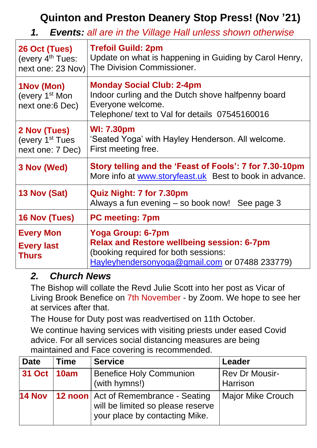# **Quinton and Preston Deanery Stop Press! (Nov '21)**

| <b>Events:</b> all are in the Village Hall unless shown otherwise<br>1. |                                                                                                                                                                  |  |  |  |
|-------------------------------------------------------------------------|------------------------------------------------------------------------------------------------------------------------------------------------------------------|--|--|--|
| 26 Oct (Tues)<br>(every 4 <sup>th</sup> Tues:<br>next one: 23 Nov)      | <b>Trefoil Guild: 2pm</b><br>Update on what is happening in Guiding by Carol Henry,<br>The Division Commissioner.                                                |  |  |  |
| 1Nov (Mon)<br>(every 1 <sup>st</sup> Mon<br>next one:6 Dec)             | <b>Monday Social Club: 2-4pm</b><br>Indoor curling and the Dutch shove halfpenny board<br>Everyone welcome.<br>Telephone/ text to Val for details 07545160016    |  |  |  |
| 2 Nov (Tues)<br>(every 1 <sup>st</sup> Tues<br>next one: 7 Dec)         | <b>WI: 7.30pm</b><br>'Seated Yoga' with Hayley Henderson. All welcome.<br>First meeting free.                                                                    |  |  |  |
| 3 Nov (Wed)                                                             | Story telling and the 'Feast of Fools': 7 for 7.30-10pm<br>More info at www.storyfeast.uk Best to book in advance.                                               |  |  |  |
| 13 Nov (Sat)                                                            | <b>Quiz Night: 7 for 7.30pm</b><br>Always a fun evening – so book now! See page 3                                                                                |  |  |  |
| <b>16 Nov (Tues)</b>                                                    | <b>PC meeting: 7pm</b>                                                                                                                                           |  |  |  |
| <b>Every Mon</b><br><b>Every last</b><br><b>Thurs</b>                   | Yoga Group: 6-7pm<br><b>Relax and Restore wellbeing session: 6-7pm</b><br>(booking required for both sessions:<br>Hayleyhendersonyoga@gmail.com or 07488 233779) |  |  |  |

#### *2. Church News*

The Bishop will collate the Revd Julie Scott into her post as Vicar of Living Brook Benefice on 7th November - by Zoom. We hope to see her at services after that.

The House for Duty post was readvertised on 11th October.

We continue having services with visiting priests under eased Covid advice. For all services social distancing measures are being maintained and Face covering is recommended.

| <b>Date</b> | <b>Time</b> | <b>Service</b>                                                                                                                | Leader                            |
|-------------|-------------|-------------------------------------------------------------------------------------------------------------------------------|-----------------------------------|
| 31 Oct 10am |             | <b>Benefice Holy Communion</b><br>(with hymns!)                                                                               | <b>Rev Dr Mousir-</b><br>Harrison |
|             |             | <b>14 Nov</b>   12 noon   Act of Remembrance - Seating<br>will be limited so please reserve<br>your place by contacting Mike. | <b>Major Mike Crouch</b>          |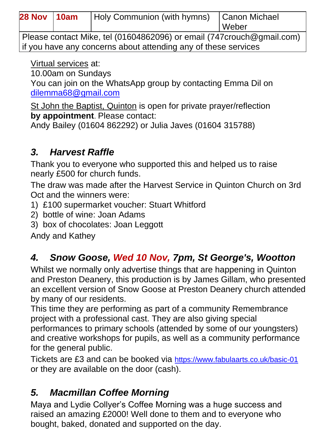| 28 Nov 10am | Holy Communion (with hymns) Canon Michael |       |
|-------------|-------------------------------------------|-------|
|             |                                           | Weber |

Please contact Mike, tel (01604862096) or email (747crouch@gmail.com) if you have any concerns about attending any of these services

Virtual services at:

10.00am on Sundays

You can join on the WhatsApp group by contacting Emma Dil on [dilemma68@gmail.com](mailto:dilemma68@gmail.com)

St John the Baptist, Quinton is open for private prayer/reflection **by appointment**. Please contact:

Andy Bailey (01604 862292) or Julia Javes (01604 315788)

## *3. Harvest Raffle*

Thank you to everyone who supported this and helped us to raise nearly £500 for church funds.

The draw was made after the Harvest Service in Quinton Church on 3rd Oct and the winners were:

- 1) £100 supermarket voucher: Stuart Whitford
- 2) bottle of wine: Joan Adams
- 3) box of chocolates: Joan Leggott

Andy and Kathey

# *4. Snow Goose, Wed 10 Nov, 7pm, St George's, Wootton*

Whilst we normally only advertise things that are happening in Quinton and Preston Deanery, this production is by James Gillam, who presented an excellent version of Snow Goose at Preston Deanery church attended by many of our residents.

This time they are performing as part of a community Remembrance project with a professional cast. They are also giving special performances to primary schools (attended by some of our youngsters) and creative workshops for pupils, as well as a community performance for the general public.

Tickets are £3 and can be booked via <https://www.fabulaarts.co.uk/basic-01> or they are available on the door (cash).

### *5. Macmillan Coffee Morning*

Maya and Lydie Collyer's Coffee Morning was a huge success and raised an amazing £2000! Well done to them and to everyone who bought, baked, donated and supported on the day.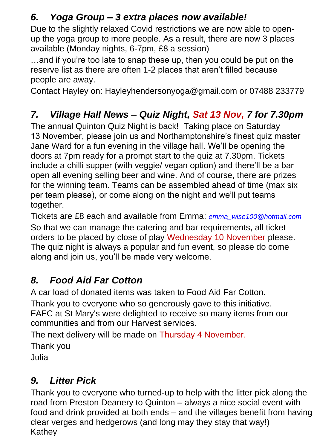## *6. Yoga Group – 3 extra places now available!*

Due to the slightly relaxed Covid restrictions we are now able to openup the yoga group to more people. As a result, there are now 3 places available (Monday nights, 6-7pm, £8 a session)

…and if you're too late to snap these up, then you could be put on the reserve list as there are often 1-2 places that aren't filled because people are away.

Contact Hayley on: Hayleyhendersonyoga@gmail.com or 07488 233779

# *7. Village Hall News – Quiz Night, Sat 13 Nov, 7 for 7.30pm*

The annual Quinton Quiz Night is back! Taking place on Saturday 13 November, please join us and Northamptonshire's finest quiz master Jane Ward for a fun evening in the village hall. We'll be opening the doors at 7pm ready for a prompt start to the quiz at 7.30pm. Tickets include a chilli supper (with veggie/ vegan option) and there'll be a bar open all evening selling beer and wine. And of course, there are prizes for the winning team. Teams can be assembled ahead of time (max six per team please), or come along on the night and we'll put teams together.

Tickets are £8 each and available from Emma: *[emma\\_wise100@hotmail.com](mailto:emma_wise100@hotmail.com)* So that we can manage the catering and bar requirements, all ticket orders to be placed by close of play Wednesday 10 November please. The quiz night is always a popular and fun event, so please do come along and join us, you'll be made very welcome.

## *8. Food Aid Far Cotton*

A car load of donated items was taken to Food Aid Far Cotton. Thank you to everyone who so generously gave to this initiative. FAFC at St Mary's were delighted to receive so many items from our communities and from our Harvest services.

The next delivery will be made on Thursday 4 November.

Thank you Julia

# *9. Litter Pick*

Thank you to everyone who turned-up to help with the litter pick along the road from Preston Deanery to Quinton – always a nice social event with food and drink provided at both ends – and the villages benefit from having clear verges and hedgerows (and long may they stay that way!) Kathey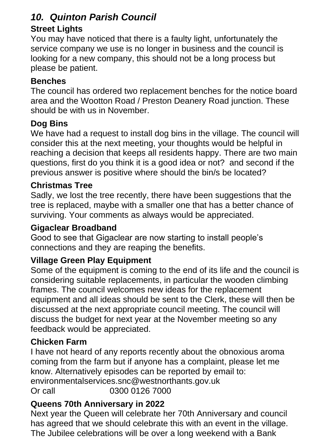### *10. Quinton Parish Council*

#### **Street Lights**

You may have noticed that there is a faulty light, unfortunately the service company we use is no longer in business and the council is looking for a new company, this should not be a long process but please be patient.

#### **Benches**

The council has ordered two replacement benches for the notice board area and the Wootton Road / Preston Deanery Road junction. These should be with us in November.

### **Dog Bins**

We have had a request to install dog bins in the village. The council will consider this at the next meeting, your thoughts would be helpful in reaching a decision that keeps all residents happy. There are two main questions, first do you think it is a good idea or not? and second if the previous answer is positive where should the bin/s be located?

#### **Christmas Tree**

Sadly, we lost the tree recently, there have been suggestions that the tree is replaced, maybe with a smaller one that has a better chance of surviving. Your comments as always would be appreciated.

#### **Gigaclear Broadband**

Good to see that Gigaclear are now starting to install people's connections and they are reaping the benefits.

### **Village Green Play Equipment**

Some of the equipment is coming to the end of its life and the council is considering suitable replacements, in particular the wooden climbing frames. The council welcomes new ideas for the replacement equipment and all ideas should be sent to the Clerk, these will then be discussed at the next appropriate council meeting. The council will discuss the budget for next year at the November meeting so any feedback would be appreciated.

#### **Chicken Farm**

I have not heard of any reports recently about the obnoxious aroma coming from the farm but if anyone has a complaint, please let me know. Alternatively episodes can be reported by email to: environmentalservices.snc@westnorthants.gov.uk Or call 0300 0126 7000

#### **Queens 70th Anniversary in 2022**

Next year the Queen will celebrate her 70th Anniversary and council has agreed that we should celebrate this with an event in the village. The Jubilee celebrations will be over a long weekend with a Bank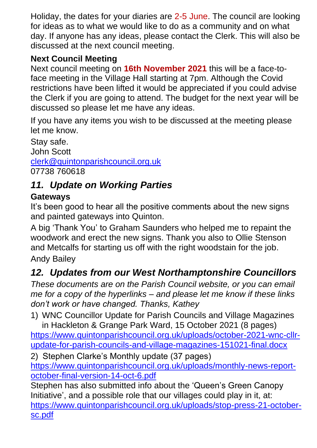Holiday, the dates for your diaries are 2-5 June. The council are looking for ideas as to what we would like to do as a community and on what day. If anyone has any ideas, please contact the Clerk. This will also be discussed at the next council meeting.

### **Next Council Meeting**

Next council meeting on **16th November 2021** this will be a face-toface meeting in the Village Hall starting at 7pm. Although the Covid restrictions have been lifted it would be appreciated if you could advise the Clerk if you are going to attend. The budget for the next year will be discussed so please let me have any ideas.

If you have any items you wish to be discussed at the meeting please let me know.

Stay safe. John Scott [clerk@quintonparishcouncil.org.uk](mailto:clerk@quintonparishcouncil.org.uk) 07738 760618

# *11. Update on Working Parties*

### **Gateways**

It's been good to hear all the positive comments about the new signs and painted gateways into Quinton.

A big 'Thank You' to Graham Saunders who helped me to repaint the woodwork and erect the new signs. Thank you also to Ollie Stenson and Metcalfs for starting us off with the right woodstain for the job. Andy Bailey

# *12. Updates from our West Northamptonshire Councillors*

*These documents are on the Parish Council website, or you can email me for a copy of the hyperlinks – and please let me know if these links don't work or have changed. Thanks, Kathey*

1) WNC Councillor Update for Parish Councils and Village Magazines in Hackleton & Grange Park Ward, 15 October 2021 (8 pages)

[https://www.quintonparishcouncil.org.uk/uploads/october-2021-wnc-cllr](https://www.quintonparishcouncil.org.uk/uploads/october-2021-wnc-cllr-update-for-parish-councils-and-village-magazines-151021-final.docx)[update-for-parish-councils-and-village-magazines-151021-final.docx](https://www.quintonparishcouncil.org.uk/uploads/october-2021-wnc-cllr-update-for-parish-councils-and-village-magazines-151021-final.docx)

2) Stephen Clarke's Monthly update (37 pages)

[https://www.quintonparishcouncil.org.uk/uploads/monthly-news-report](https://www.quintonparishcouncil.org.uk/uploads/monthly-news-report-october-final-version-14-oct-6.pdf)[october-final-version-14-oct-6.pdf](https://www.quintonparishcouncil.org.uk/uploads/monthly-news-report-october-final-version-14-oct-6.pdf)

Stephen has also submitted info about the 'Queen's Green Canopy Initiative', and a possible role that our villages could play in it, at: https://www.quintonparishcouncil.org.uk/uploads/stop-press-21-octobersc.pdf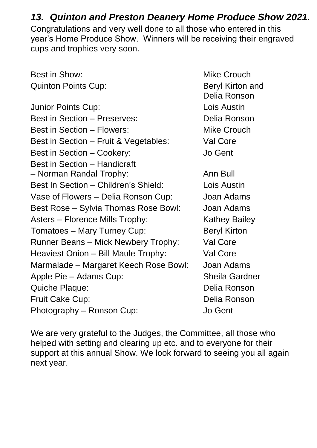#### *13. Quinton and Preston Deanery Home Produce Show 2021.*

Congratulations and very well done to all those who entered in this year's Home Produce Show. Winners will be receiving their engraved cups and trophies very soon.

| <b>Best in Show:</b>                  | <b>Mike Crouch</b>               |
|---------------------------------------|----------------------------------|
| <b>Quinton Points Cup:</b>            | Beryl Kirton and<br>Delia Ronson |
| Junior Points Cup:                    | Lois Austin                      |
| <b>Best in Section - Preserves:</b>   | Delia Ronson                     |
| <b>Best in Section - Flowers:</b>     | <b>Mike Crouch</b>               |
| Best in Section - Fruit & Vegetables: | Val Core                         |
| Best in Section - Cookery:            | <b>Jo Gent</b>                   |
| <b>Best in Section - Handicraft</b>   |                                  |
| - Norman Randal Trophy:               | Ann Bull                         |
| Best In Section - Children's Shield:  | Lois Austin                      |
| Vase of Flowers – Delia Ronson Cup:   | Joan Adams                       |
| Best Rose – Sylvia Thomas Rose Bowl:  | Joan Adams                       |
| Asters – Florence Mills Trophy:       | <b>Kathey Bailey</b>             |
| Tomatoes – Mary Turney Cup:           | <b>Beryl Kirton</b>              |
| Runner Beans - Mick Newbery Trophy:   | <b>Val Core</b>                  |
| Heaviest Onion - Bill Maule Trophy:   | Val Core                         |
| Marmalade – Margaret Keech Rose Bowl: | Joan Adams                       |
| Apple Pie – Adams Cup:                | <b>Sheila Gardner</b>            |
| <b>Quiche Plaque:</b>                 | Delia Ronson                     |
| <b>Fruit Cake Cup:</b>                | Delia Ronson                     |
| Photography – Ronson Cup:             | <b>Jo Gent</b>                   |

We are very grateful to the Judges, the Committee, all those who helped with setting and clearing up etc. and to everyone for their support at this annual Show. We look forward to seeing you all again next year.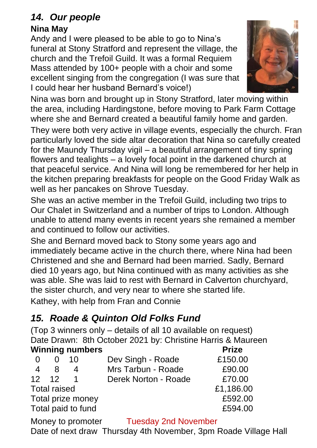## *14. Our people*

#### **Nina May**

Andy and I were pleased to be able to go to Nina's funeral at Stony Stratford and represent the village, the church and the Trefoil Guild. It was a formal Requiem Mass attended by 100+ people with a choir and some excellent singing from the congregation (I was sure that I could hear her husband Bernard's voice!)



Nina was born and brought up in Stony Stratford, later moving within the area, including Hardingstone, before moving to Park Farm Cottage where she and Bernard created a beautiful family home and garden.

They were both very active in village events, especially the church. Fran particularly loved the side altar decoration that Nina so carefully created for the Maundy Thursday vigil – a beautiful arrangement of tiny spring flowers and tealights – a lovely focal point in the darkened church at that peaceful service. And Nina will long be remembered for her help in the kitchen preparing breakfasts for people on the Good Friday Walk as well as her pancakes on Shrove Tuesday.

She was an active member in the Trefoil Guild, including two trips to Our Chalet in Switzerland and a number of trips to London. Although unable to attend many events in recent years she remained a member and continued to follow our activities.

She and Bernard moved back to Stony some years ago and immediately became active in the church there, where Nina had been Christened and she and Bernard had been married. Sadly, Bernard died 10 years ago, but Nina continued with as many activities as she was able. She was laid to rest with Bernard in Calverton churchyard, the sister church, and very near to where she started life.

Kathey, with help from Fran and Connie

# *15. Roade & Quinton Old Folks Fund*

(Top 3 winners only – details of all 10 available on request) Date Drawn: 8th October 2021 by: Christine Harris & Maureen **Winning numbers** *Prize* 

|                    |                     | 10 | Dev Singh - Roade    | £150.00   |
|--------------------|---------------------|----|----------------------|-----------|
| $\overline{4}$     | 8                   | 4  | Mrs Tarbun - Roade   | £90.00    |
|                    | $12 \quad 12$       |    | Derek Norton - Roade | £70.00    |
|                    | <b>Total raised</b> |    |                      | £1,186.00 |
| Total prize money  |                     |    |                      | £592.00   |
| Total paid to fund |                     |    | £594.00              |           |
|                    |                     |    |                      |           |

Money to promoter Tuesday 2nd November Date of next draw Thursday 4th November, 3pm Roade Village Hall